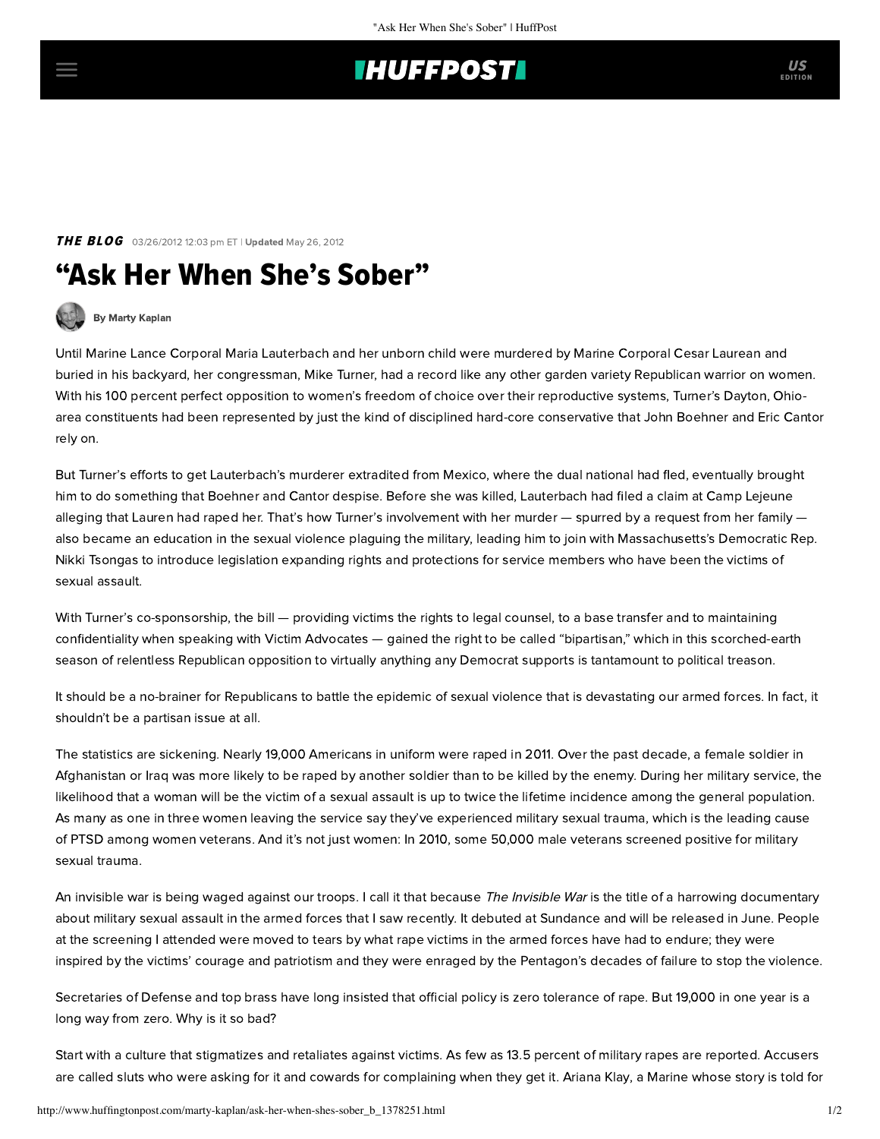## **THUFFPOST**

### **THE BLOG** 03/26/2012 12:03 pm ET | Updated May 26, 2012

# "Ask Her When She's Sober"



[By Marty Kaplan](http://www.huffingtonpost.com/author/marty-kaplan)

Until Marine Lance Corporal Maria Lauterbach and her unborn child were [murdered](http://%20cesar%20laurean/) by Marine Corporal Cesar Laurean and buried in his backyard, her congressman, Mike Turner, had a [record](http://house.ontheissues.org/OH/Mike_Turner.htm) like any other garden variety Republican warrior on women. With his 100 percent perfect opposition to women's freedom of choice over their reproductive systems, Turner's Dayton, Ohioarea constituents had been represented by just the kind of disciplined hard-core conservative that John Boehner and Eric Cantor rely on.

But Turner's [efforts](http://www.whiotv.com/news/news/rep-mike-turner-marine-corps-response-shows-lack-o/nFCKg/) to get Lauterbach's murderer extradited from Mexico, where the dual national had fled, eventually brought him to do something that Boehner and Cantor despise. Before she was killed, Lauterbach had filed a claim at Camp Lejeune alleging that Lauren had raped her. That's how Turner's involvement with her murder — spurred by a request from her family also became an education in the sexual violence plaguing the military, leading him to join with Massachusetts's Democratic Rep. Nikki Tsongas to introduce [legislation](http://tsongas.house.gov/index.cfm?sectionid=49§iontree=123,49&itemid=496) expanding rights and protections for service members who have been the victims of sexual assault.

With Turner's co-sponsorship, the bill — providing victims the rights to legal counsel, to a base transfer and to maintaining confidentiality when speaking with Victim Advocates — gained the right to be called "bipartisan," which in this scorched-earth season of relentless Republican opposition to virtually anything any Democrat supports is tantamount to political treason.

It should be a no-brainer for Republicans to battle the epidemic of sexual violence that is devastating our armed forces. In fact, it shouldn't be a partisan issue at all.

The statistics are sickening. Nearly 19,000 Americans in uniform [were raped](http://www.google.com/url?sa=t&rct=j&q=&esrc=s&source=web&cd=1&ved=0CCkQFjAA&url=http%3A%2F%2Fservicewomen.org%2F2011%2F03%2Fpentagon-releases-2011-report-on-military-sexual-assault%2F&ei=7JJwT7-NNOL00gH3h9niBg&usg=AFQjCNGrWKt9PQrUapk4NWpZuwLPiIoXSg&sig2=zcC51U_wAMdhet4a4G8zLQ) in 2011. Over the past decade, a female soldier in Afghanistan or Iraq was more likely to be raped by another soldier than to be killed by the enemy. During her military service, the likelihood that a woman will be the victim of a sexual assault is up to twice the lifetime incidence among the general population. As many as one in three women leaving the service say they've experienced military sexual trauma, which is the leading cause of PTSD among women veterans. And it's not just women: In 2010, some 50,000 [male](http://www.thedailybeast.com/articles/2011/04/03/male-rape-in-the-military-being-confronted.html) veterans screened positive for military sexual trauma.

An invisible war is being waged against our troops. I call it that because [The Invisible War](http://invisiblewarmovie.com/) is the title of a harrowing documentary about military sexual assault in the armed forces that I saw recently. It debuted at Sundance and will be released in June. People at the screening I attended were moved to tears by what rape victims in the armed forces have had to endure; they were inspired by the victims' courage and patriotism and they were enraged by the Pentagon's decades of failure to stop the violence.

Secretaries of Defense and top brass have long insisted that official policy is zero tolerance of rape. But 19,000 in one year is a long way from zero. Why is it so bad?

Start with a culture that stigmatizes and retaliates against victims. As few as 13.5 percent of military rapes are reported. Accusers are called sluts who were asking for it and cowards for complaining when they get it. [Ariana Klay,](http://www.thedailybeast.com/articles/2012/03/06/panetta-gates-rumsfeld-face-new-suit-over-u-s-military-rape-epidemic.html) a Marine whose [story](http://www.msnbc.msn.com/id/41598622/ns/us_news-life/t/lawsuit-claims-pentagon-turned-blind-eye-military-rape-victims/#.T2_Ne-xWong) is told for